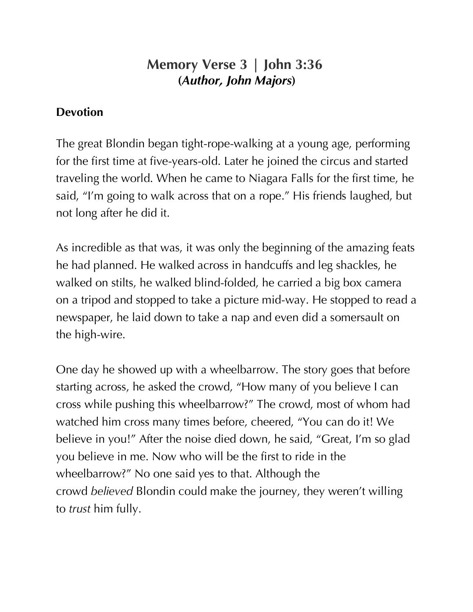## **Memory Verse 3 | John 3:36 (***Author, John Majors***)**

## **Devotion**

The great Blondin began tight-rope-walking at a young age, performing for the first time at five-years-old. Later he joined the circus and started traveling the world. When he came to Niagara Falls for the first time, he said, "I'm going to walk across that on a rope." His friends laughed, but not long after he did it.

As incredible as that was, it was only the beginning of the amazing feats he had planned. He walked across in handcuffs and leg shackles, he walked on stilts, he walked blind-folded, he carried a big box camera on a tripod and stopped to take a picture mid-way. He stopped to read a newspaper, he laid down to take a nap and even did a somersault on the high-wire.

One day he showed up with a wheelbarrow. The story goes that before starting across, he asked the crowd, "How many of you believe I can cross while pushing this wheelbarrow?" The crowd, most of whom had watched him cross many times before, cheered, "You can do it! We believe in you!" After the noise died down, he said, "Great, I'm so glad you believe in me. Now who will be the first to ride in the wheelbarrow?" No one said yes to that. Although the crowd *believed* Blondin could make the journey, they weren't willing to *trust* him fully.